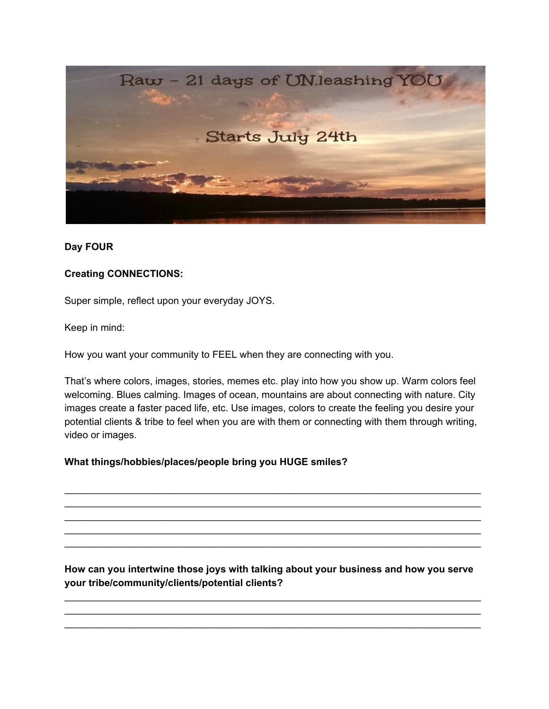

## **Day FOUR**

## **Creating CONNECTIONS:**

Super simple, reflect upon your everyday JOYS.

Keep in mind:

How you want your community to FEEL when they are connecting with you.

That's where colors, images, stories, memes etc. play into how you show up. Warm colors feel welcoming. Blues calming. Images of ocean, mountains are about connecting with nature. City images create a faster paced life, etc. Use images, colors to create the feeling you desire your potential clients & tribe to feel when you are with them or connecting with them through writing, video or images.

\_\_\_\_\_\_\_\_\_\_\_\_\_\_\_\_\_\_\_\_\_\_\_\_\_\_\_\_\_\_\_\_\_\_\_\_\_\_\_\_\_\_\_\_\_\_\_\_\_\_\_\_\_\_\_\_\_\_\_\_\_\_\_\_\_\_\_\_\_\_\_\_\_\_\_\_ \_\_\_\_\_\_\_\_\_\_\_\_\_\_\_\_\_\_\_\_\_\_\_\_\_\_\_\_\_\_\_\_\_\_\_\_\_\_\_\_\_\_\_\_\_\_\_\_\_\_\_\_\_\_\_\_\_\_\_\_\_\_\_\_\_\_\_\_\_\_\_\_\_\_\_\_ \_\_\_\_\_\_\_\_\_\_\_\_\_\_\_\_\_\_\_\_\_\_\_\_\_\_\_\_\_\_\_\_\_\_\_\_\_\_\_\_\_\_\_\_\_\_\_\_\_\_\_\_\_\_\_\_\_\_\_\_\_\_\_\_\_\_\_\_\_\_\_\_\_\_\_\_ \_\_\_\_\_\_\_\_\_\_\_\_\_\_\_\_\_\_\_\_\_\_\_\_\_\_\_\_\_\_\_\_\_\_\_\_\_\_\_\_\_\_\_\_\_\_\_\_\_\_\_\_\_\_\_\_\_\_\_\_\_\_\_\_\_\_\_\_\_\_\_\_\_\_\_\_ \_\_\_\_\_\_\_\_\_\_\_\_\_\_\_\_\_\_\_\_\_\_\_\_\_\_\_\_\_\_\_\_\_\_\_\_\_\_\_\_\_\_\_\_\_\_\_\_\_\_\_\_\_\_\_\_\_\_\_\_\_\_\_\_\_\_\_\_\_\_\_\_\_\_\_\_

### **What things/hobbies/places/people bring you HUGE smiles?**

**How can you intertwine those joys with talking about your business and how you serve your tribe/community/clients/potential clients?**

\_\_\_\_\_\_\_\_\_\_\_\_\_\_\_\_\_\_\_\_\_\_\_\_\_\_\_\_\_\_\_\_\_\_\_\_\_\_\_\_\_\_\_\_\_\_\_\_\_\_\_\_\_\_\_\_\_\_\_\_\_\_\_\_\_\_\_\_\_\_\_\_\_\_\_\_ \_\_\_\_\_\_\_\_\_\_\_\_\_\_\_\_\_\_\_\_\_\_\_\_\_\_\_\_\_\_\_\_\_\_\_\_\_\_\_\_\_\_\_\_\_\_\_\_\_\_\_\_\_\_\_\_\_\_\_\_\_\_\_\_\_\_\_\_\_\_\_\_\_\_\_\_ \_\_\_\_\_\_\_\_\_\_\_\_\_\_\_\_\_\_\_\_\_\_\_\_\_\_\_\_\_\_\_\_\_\_\_\_\_\_\_\_\_\_\_\_\_\_\_\_\_\_\_\_\_\_\_\_\_\_\_\_\_\_\_\_\_\_\_\_\_\_\_\_\_\_\_\_